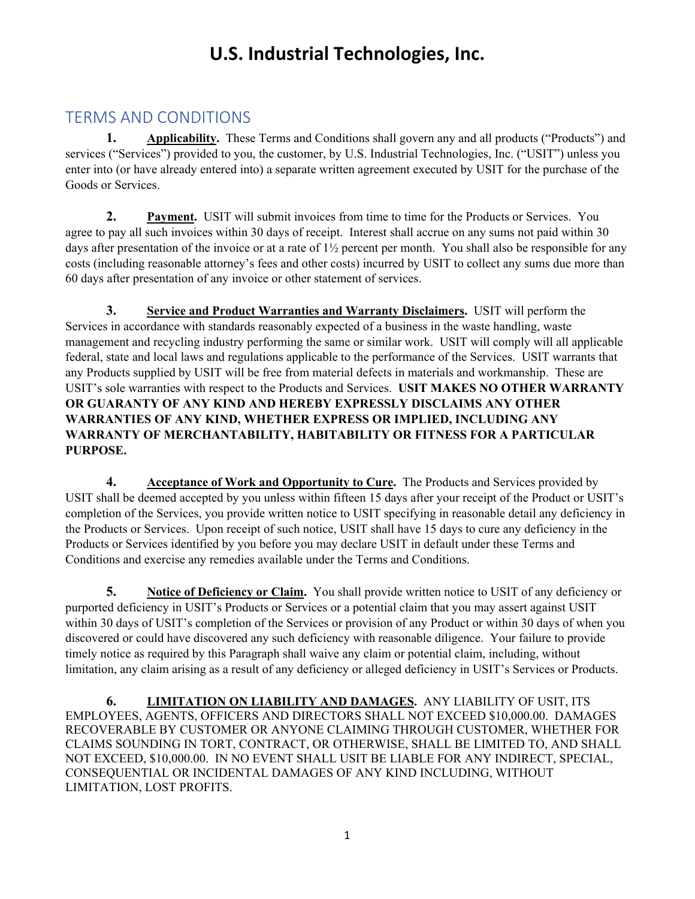## **U.S. Industrial Technologies, Inc.**

## TERMS AND CONDITIONS

**1. Applicability.** These Terms and Conditions shall govern any and all products ("Products") and services ("Services") provided to you, the customer, by U.S. Industrial Technologies, Inc. ("USIT") unless you enter into (or have already entered into) a separate written agreement executed by USIT for the purchase of the Goods or Services.

**2. Payment.** USIT will submit invoices from time to time for the Products or Services. You agree to pay all such invoices within 30 days of receipt. Interest shall accrue on any sums not paid within 30 days after presentation of the invoice or at a rate of  $1\frac{1}{2}$  percent per month. You shall also be responsible for any costs (including reasonable attorney's fees and other costs) incurred by USIT to collect any sums due more than 60 days after presentation of any invoice or other statement of services.

**3. Service and Product Warranties and Warranty Disclaimers.** USIT will perform the Services in accordance with standards reasonably expected of a business in the waste handling, waste management and recycling industry performing the same or similar work. USIT will comply will all applicable federal, state and local laws and regulations applicable to the performance of the Services. USIT warrants that any Products supplied by USIT will be free from material defects in materials and workmanship. These are USIT's sole warranties with respect to the Products and Services. **USIT MAKES NO OTHER WARRANTY OR GUARANTY OF ANY KIND AND HEREBY EXPRESSLY DISCLAIMS ANY OTHER WARRANTIES OF ANY KIND, WHETHER EXPRESS OR IMPLIED, INCLUDING ANY WARRANTY OF MERCHANTABILITY, HABITABILITY OR FITNESS FOR A PARTICULAR PURPOSE.** 

**4. Acceptance of Work and Opportunity to Cure.** The Products and Services provided by USIT shall be deemed accepted by you unless within fifteen 15 days after your receipt of the Product or USIT's completion of the Services, you provide written notice to USIT specifying in reasonable detail any deficiency in the Products or Services. Upon receipt of such notice, USIT shall have 15 days to cure any deficiency in the Products or Services identified by you before you may declare USIT in default under these Terms and Conditions and exercise any remedies available under the Terms and Conditions.

**5. Notice of Deficiency or Claim.** You shall provide written notice to USIT of any deficiency or purported deficiency in USIT's Products or Services or a potential claim that you may assert against USIT within 30 days of USIT's completion of the Services or provision of any Product or within 30 days of when you discovered or could have discovered any such deficiency with reasonable diligence. Your failure to provide timely notice as required by this Paragraph shall waive any claim or potential claim, including, without limitation, any claim arising as a result of any deficiency or alleged deficiency in USIT's Services or Products.

**6. LIMITATION ON LIABILITY AND DAMAGES.** ANY LIABILITY OF USIT, ITS EMPLOYEES, AGENTS, OFFICERS AND DIRECTORS SHALL NOT EXCEED \$10,000.00. DAMAGES RECOVERABLE BY CUSTOMER OR ANYONE CLAIMING THROUGH CUSTOMER, WHETHER FOR CLAIMS SOUNDING IN TORT, CONTRACT, OR OTHERWISE, SHALL BE LIMITED TO, AND SHALL NOT EXCEED, \$10,000.00. IN NO EVENT SHALL USIT BE LIABLE FOR ANY INDIRECT, SPECIAL, CONSEQUENTIAL OR INCIDENTAL DAMAGES OF ANY KIND INCLUDING, WITHOUT LIMITATION, LOST PROFITS.